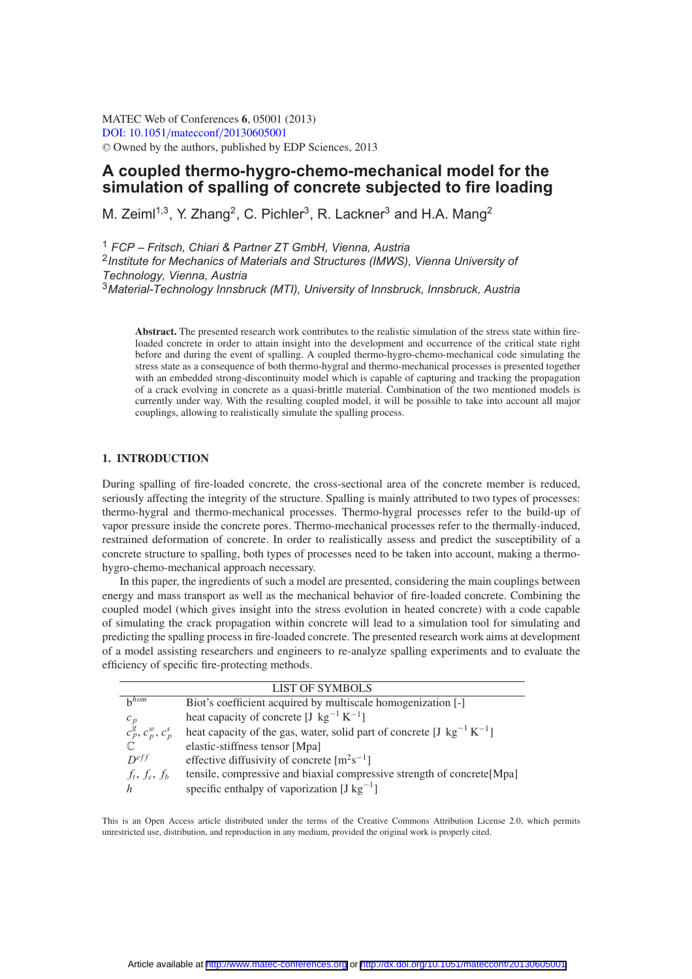MATEC Web of Conferences **6**, 05001 (2013) [DOI: 10.1051](http://dx.doi.org/10.1051/matecconf/20130605001)/matecconf/20130605001 <sup>C</sup> Owned by the authors, published by EDP Sciences, 2013

# **A coupled thermo-hygro-chemo-mechanical model for the simulation of spalling of concrete subjected to fire loading**

M. Zeiml<sup>1,3</sup>, Y. Zhang<sup>2</sup>, C. Pichler<sup>3</sup>, R. Lackner<sup>3</sup> and H.A. Mang<sup>2</sup>

 *FCP – Fritsch, Chiari & Partner ZT GmbH, Vienna, Austria Institute for Mechanics of Materials and Structures (IMWS), Vienna University of Technology, Vienna, Austria Material-Technology Innsbruck (MTI), University of Innsbruck, Innsbruck, Austria*

**Abstract.** The presented research work contributes to the realistic simulation of the stress state within fireloaded concrete in order to attain insight into the development and occurrence of the critical state right before and during the event of spalling. A coupled thermo-hygro-chemo-mechanical code simulating the stress state as a consequence of both thermo-hygral and thermo-mechanical processes is presented together with an embedded strong-discontinuity model which is capable of capturing and tracking the propagation of a crack evolving in concrete as a quasi-brittle material. Combination of the two mentioned models is currently under way. With the resulting coupled model, it will be possible to take into account all major couplings, allowing to realistically simulate the spalling process.

### **1. INTRODUCTION**

During spalling of fire-loaded concrete, the cross-sectional area of the concrete member is reduced, seriously affecting the integrity of the structure. Spalling is mainly attributed to two types of processes: thermo-hygral and thermo-mechanical processes. Thermo-hygral processes refer to the build-up of vapor pressure inside the concrete pores. Thermo-mechanical processes refer to the thermally-induced, restrained deformation of concrete. In order to realistically assess and predict the susceptibility of a concrete structure to spalling, both types of processes need to be taken into account, making a thermohygro-chemo-mechanical approach necessary.

In this paper, the ingredients of such a model are presented, considering the main couplings between energy and mass transport as well as the mechanical behavior of fire-loaded concrete. Combining the coupled model (which gives insight into the stress evolution in heated concrete) with a code capable of simulating the crack propagation within concrete will lead to a simulation tool for simulating and predicting the spalling process in fire-loaded concrete. The presented research work aims at development of a model assisting researchers and engineers to re-analyze spalling experiments and to evaluate the efficiency of specific fire-protecting methods.

| LIST OF SYMBOLS                                           |                                                                                              |  |
|-----------------------------------------------------------|----------------------------------------------------------------------------------------------|--|
| $h^{hom}$                                                 | Biot's coefficient acquired by multiscale homogenization [-]                                 |  |
|                                                           | heat capacity of concrete $[I \text{ kg}^{-1} \text{ K}^{-1}]$                               |  |
| $\begin{array}{c} c_p \\ c_p^g, c_p^w, c_p^s \end{array}$ | heat capacity of the gas, water, solid part of concrete $[I \text{ kg}^{-1} \text{ K}^{-1}]$ |  |
| $\mathbb{C}$                                              | elastic-stiffness tensor [Mpa]                                                               |  |
| $\mathbf{D}^{eff}$                                        | effective diffusivity of concrete $\lceil m^2 s^{-1} \rceil$                                 |  |
| $f_t, f_c, f_b$                                           | tensile, compressive and biaxial compressive strength of concrete[Mpa]                       |  |
|                                                           | specific enthalpy of vaporization $[J \text{ kg}^{-1}]$                                      |  |

This is an Open Access article distributed under the terms of the Creative Commons Attribution License 2.0, which permits unrestricted use, distribution, and reproduction in any medium, provided the original work is properly cited.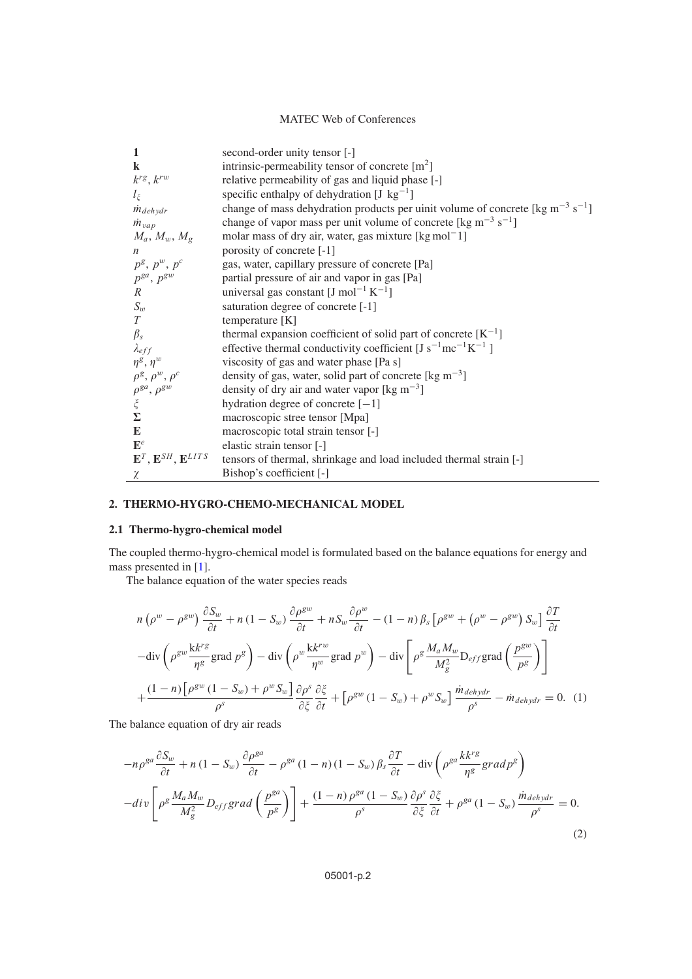| 1                                         | second-order unity tensor [-]                                                                          |
|-------------------------------------------|--------------------------------------------------------------------------------------------------------|
| $\bf k$                                   | intrinsic-permeability tensor of concrete $[m^2]$                                                      |
| $k^{rg}, k^{rw}$                          | relative permeability of gas and liquid phase [-]                                                      |
| $l_{\xi}$                                 | specific enthalpy of dehydration $[J \text{ kg}^{-1}]$                                                 |
| $\dot{m}_{dehydr}$                        | change of mass dehydration products per uinit volume of concrete [kg m <sup>-3</sup> s <sup>-1</sup> ] |
| $\dot{m}_{vap}$                           | change of vapor mass per unit volume of concrete [kg m <sup>-3</sup> s <sup>-1</sup> ]                 |
| $M_a, M_w, M_g$                           | molar mass of dry air, water, gas mixture [kg mol <sup>-1]</sup>                                       |
| $\boldsymbol{n}$                          | porosity of concrete [-1]                                                                              |
| $p^g$ , $p^w$ , $p^c$                     | gas, water, capillary pressure of concrete [Pa]                                                        |
| $p^{ga}, p^{gw}$                          | partial pressure of air and vapor in gas [Pa]                                                          |
| $\mathbb{R}$                              | universal gas constant [J mol <sup>-1</sup> K <sup>-1</sup> ]                                          |
| $S_w$                                     | saturation degree of concrete [-1]                                                                     |
| T                                         | temperature [K]                                                                                        |
| $\beta_s$                                 | thermal expansion coefficient of solid part of concrete $[K^{-1}]$                                     |
| $\lambda_{eff}$                           | effective thermal conductivity coefficient [J $s^{-1}mc^{-1}K^{-1}$ ]                                  |
| $\eta^g, \eta^w$                          | viscosity of gas and water phase [Pa s]                                                                |
| $\rho^g,\,\rho^w,\,\rho^c$                | density of gas, water, solid part of concrete [ $\text{kg m}^{-3}$ ]                                   |
| $\rho^{ga},\rho^{gw}$ $\xi$               | density of dry air and water vapor [kg m <sup>-3</sup> ]                                               |
|                                           | hydration degree of concrete $[-1]$                                                                    |
| $\boldsymbol{\Sigma}$                     | macroscopic stree tensor [Mpa]                                                                         |
| E                                         | macroscopic total strain tensor [-]                                                                    |
| $\mathbf{F}^e$                            | elastic strain tensor [-]                                                                              |
| ${\bf E}^T, {\bf E}^{SH}, {\bf E}^{LITS}$ | tensors of thermal, shrinkage and load included thermal strain [-]                                     |
| χ                                         | Bishop's coefficient [-]                                                                               |

# **2. THERMO-HYGRO-CHEMO-MECHANICAL MODEL**

# **2.1 Thermo-hygro-chemical model**

The coupled thermo-hygro-chemical model is formulated based on the balance equations for energy and mass presented in  $[1]$  $[1]$ .

The balance equation of the water species reads

$$
n\left(\rho^{w} - \rho^{gw}\right)\frac{\partial S_{w}}{\partial t} + n\left(1 - S_{w}\right)\frac{\partial \rho^{gw}}{\partial t} + nS_{w}\frac{\partial \rho^{w}}{\partial t} - (1 - n)\beta_{s}\left[\rho^{gw} + \left(\rho^{w} - \rho^{gw}\right)S_{w}\right]\frac{\partial T}{\partial t}
$$

$$
-\text{div}\left(\rho^{gw}\frac{k k^{rg}}{\eta^{g}}\text{grad } \rho^{g}\right) - \text{div}\left(\rho^{w}\frac{k k^{rw}}{\eta^{w}}\text{grad } \rho^{w}\right) - \text{div}\left[\rho^{g}\frac{M_{a}M_{w}}{M_{g}^{2}}\text{D}_{eff}\text{grad}\left(\frac{P^{gw}}{P^{g}}\right)\right]
$$

$$
+\frac{(1 - n)\left[\rho^{gw}\left(1 - S_{w}\right) + \rho^{w}S_{w}\right]}{\rho^{s}}\frac{\partial \rho^{s}}{\partial \xi}\frac{\partial \xi}{\partial t} + \left[\rho^{gw}\left(1 - S_{w}\right) + \rho^{w}S_{w}\right]\frac{\dot{m}_{dehydr}}{\rho^{s}} - \dot{m}_{dehydr} = 0. \quad (1)
$$

The balance equation of dry air reads

$$
-n\rho^{ga}\frac{\partial S_w}{\partial t} + n(1 - S_w)\frac{\partial \rho^{ga}}{\partial t} - \rho^{ga}(1 - n)(1 - S_w)\beta_s \frac{\partial T}{\partial t} - \text{div}\left(\rho^{ga}\frac{k k^{rg}}{\eta^g}\text{grad}P^g\right)
$$

$$
-div\left[\rho^g\frac{M_a M_w}{M_g^2}D_{eff}\text{grad}\left(\frac{P^{ga}}{P^g}\right)\right] + \frac{(1 - n)\rho^{ga}(1 - S_w)}{\rho^s}\frac{\partial \rho^s}{\partial \xi}\frac{\partial \xi}{\partial t} + \rho^{ga}(1 - S_w)\frac{m_{dehydr}}{\rho^s} = 0.
$$
(2)

# 05001-p.2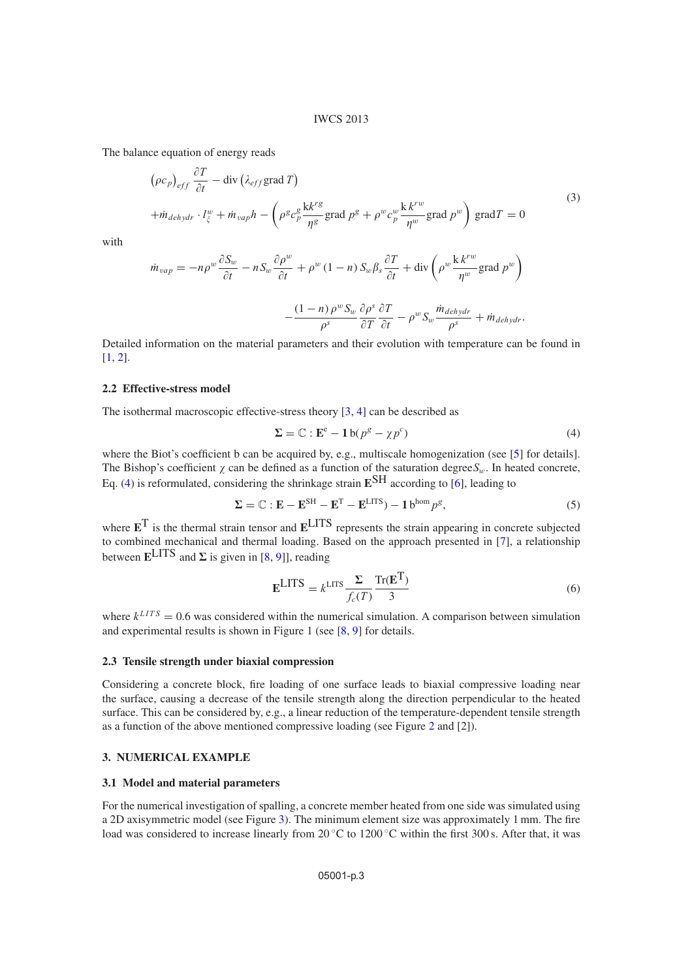#### IWCS 2013

The balance equation of energy reads

$$
(\rho c_p)_{eff} \frac{\partial T}{\partial t} - \text{div} (\lambda_{eff} \text{grad } T)
$$
  
+ $\dot{m}_{dehydr} \cdot l_{\xi}^{w} + \dot{m}_{vap} h - (\rho^{g} c_p^{g} \frac{k k^{r g}}{\eta^{g}} \text{grad } \rho^{g} + \rho^{w} c_p^{w} \frac{k k^{r w}}{\eta^{w}} \text{grad } \rho^{w}) \text{grad} T = 0$  (3)

with

$$
\dot{m}_{vap} = -n\rho^w \frac{\partial S_w}{\partial t} - nS_w \frac{\partial \rho^w}{\partial t} + \rho^w (1 - n) S_w \beta_s \frac{\partial T}{\partial t} + \text{div} \left( \rho^w \frac{k k^{rw}}{\eta^w} \text{grad } \rho^w \right)
$$

$$
- \frac{(1 - n) \rho^w S_w}{\rho^s} \frac{\partial \rho^s}{\partial T} \frac{\partial T}{\partial t} - \rho^w S_w \frac{\dot{m} \cdot d\epsilon h y dr}{\rho^s} + \dot{m} \cdot d\epsilon h y dr.
$$

Detailed information on the material parameters and their evolution with temperature can be found in  $[1, 2]$  $[1, 2]$  $[1, 2]$  $[1, 2]$ .

### **2.2 Effective-stress model**

The isothermal macroscopic effective-stress theory  $[3, 4]$  $[3, 4]$  $[3, 4]$  can be described as

<span id="page-2-0"></span>
$$
\Sigma = \mathbb{C} : \mathbb{E}^e - 1 \mathbf{b} (p^g - \chi p^c)
$$
 (4)

where the Biot's coefficient b can be acquired by, e.g., multiscale homogenization (see [\[5\]](#page-8-4) for details]. The Bishop's coefficient  $\chi$  can be defined as a function of the saturation degreeS<sub>w</sub>. In heated concrete, Eq. [\(4\)](#page-2-0) is reformulated, considering the shrinkage strain **E**SH according to [\[6\]](#page-8-5), leading to

$$
\Sigma = \mathbb{C} : \mathbf{E} - \mathbf{E}^{\text{SH}} - \mathbf{E}^{\text{T}} - \mathbf{E}^{\text{LITS}}) - 1 \,\mathbf{b}^{\text{hom}} p^{\text{g}},\tag{5}
$$

where **E**T is the thermal strain tensor and **E**LITS represents the strain appearing in concrete subjected to combined mechanical and thermal loading. Based on the approach presented in [\[7](#page-8-6)], a relationship between  $E<sup>LITS</sup>$  and  $\Sigma$  is given in [\[8](#page-8-7), [9](#page-8-8)]], reading

$$
\mathbf{E}^{\text{LITS}} = k^{\text{LITS}} \frac{\Sigma}{f_c(T)} \frac{\text{Tr}(\mathbf{E}^{\text{T}})}{3} \tag{6}
$$

where  $k^{LITS} = 0.6$  was considered within the numerical simulation. A comparison between simulation and experimental results is shown in Figure 1 (see [\[8](#page-8-7), [9](#page-8-8)] for details.

#### **2.3 Tensile strength under biaxial compression**

Considering a concrete block, fire loading of one surface leads to biaxial compressive loading near the surface, causing a decrease of the tensile strength along the direction perpendicular to the heated surface. This can be considered by, e.g., a linear reduction of the temperature-dependent tensile strength as a function of the above mentioned compressive loading (see Figure [2](#page-3-0) and [2]).

### **3. NUMERICAL EXAMPLE**

#### **3.1 Model and material parameters**

For the numerical investigation of spalling, a concrete member heated from one side was simulated using a 2D axisymmetric model (see Figure [3\)](#page-4-0). The minimum element size was approximately 1 mm. The fire load was considered to increase linearly from 20 ◦C to 1200 ◦C within the first 300 s. After that, it was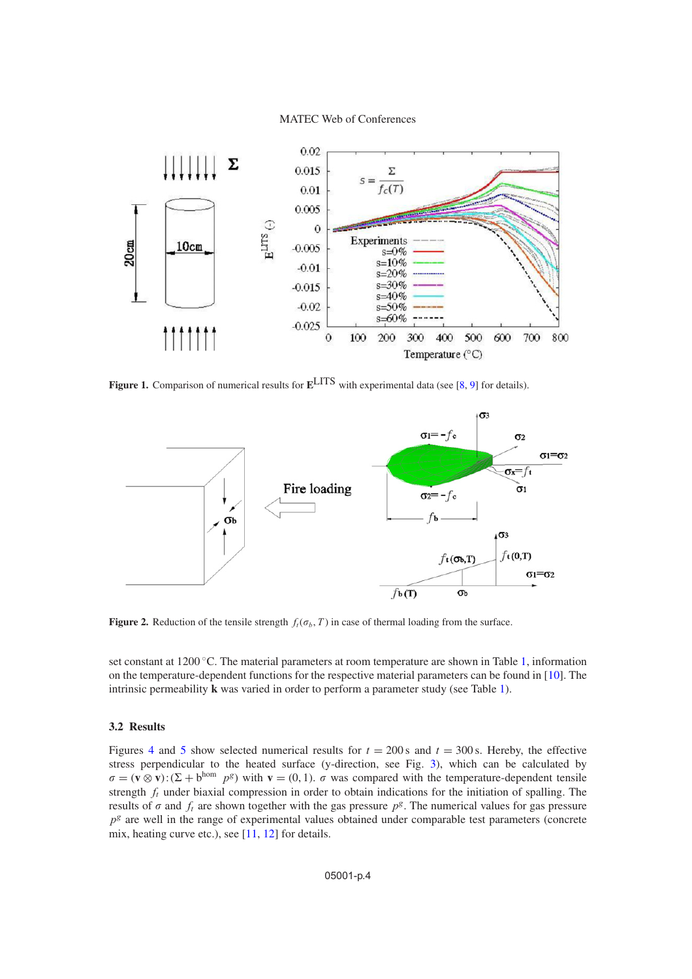

**Figure 1.** Comparison of numerical results for **E**LITS with experimental data (see [\[8,](#page-8-7) [9\]](#page-8-8) for details).

<span id="page-3-0"></span>

**Figure 2.** Reduction of the tensile strength  $f_t(\sigma_b, T)$  in case of thermal loading from the surface.

set constant at 1200 °C. The material parameters at room temperature are shown in Table [1,](#page-4-1) information on the temperature-dependent functions for the respective material parameters can be found in [\[10](#page-8-9)]. The intrinsic permeability **k** was varied in order to perform a parameter study (see Table [1\)](#page-4-1).

#### **3.2 Results**

Figures [4](#page-4-2) and [5](#page-5-0) show selected numerical results for  $t = 200$  s and  $t = 300$  s. Hereby, the effective stress perpendicular to the heated surface (y-direction, see Fig. [3\)](#page-4-0), which can be calculated by  $\sigma = (\mathbf{v} \otimes \mathbf{v}) : (\Sigma + \mathbf{b}^{\text{hom}} \ p^{\text{g}})$  with  $\mathbf{v} = (0, 1)$ .  $\sigma$  was compared with the temperature-dependent tensile strength  $f_t$  under biaxial compression in order to obtain indications for the initiation of spalling. The results of  $\sigma$  and  $f_t$  are shown together with the gas pressure  $p^g$ . The numerical values for gas pressure  $p<sup>g</sup>$  are well in the range of experimental values obtained under comparable test parameters (concrete mix, heating curve etc.), see [\[11](#page-8-10), [12](#page-8-11)] for details.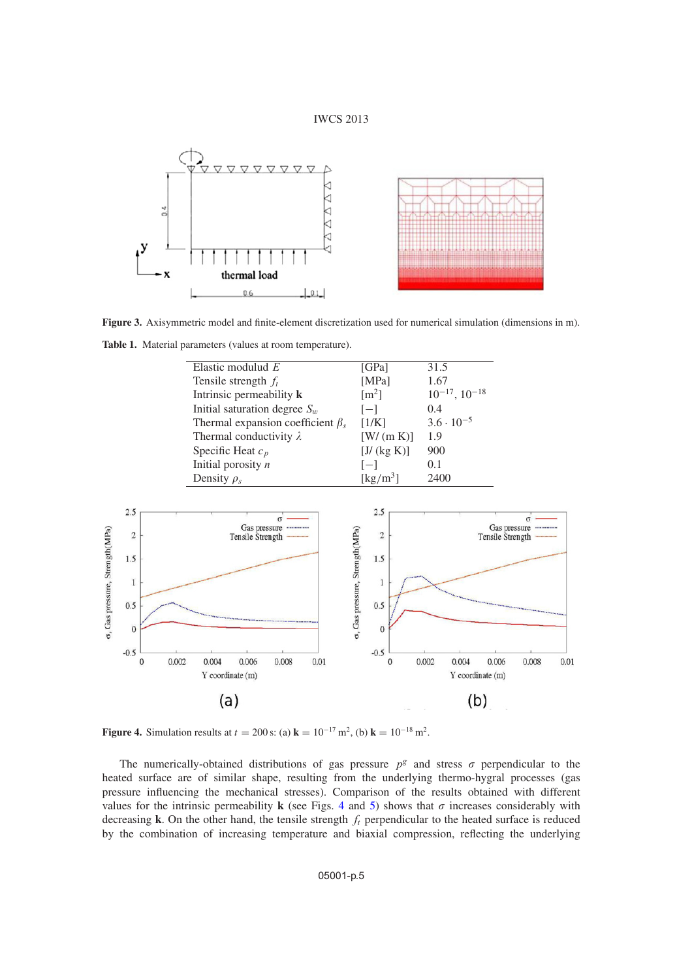

<span id="page-4-0"></span>

**Figure 3.** Axisymmetric model and finite-element discretization used for numerical simulation (dimensions in m).

**Table 1.** Material parameters (values at room temperature).

<span id="page-4-2"></span><span id="page-4-1"></span>

**Figure 4.** Simulation results at  $t = 200$  s: (a)  $\mathbf{k} = 10^{-17}$  m<sup>2</sup>, (b)  $\mathbf{k} = 10^{-18}$  m<sup>2</sup>.

The numerically-obtained distributions of gas pressure  $p^g$  and stress  $\sigma$  perpendicular to the heated surface are of similar shape, resulting from the underlying thermo-hygral processes (gas pressure influencing the mechanical stresses). Comparison of the results obtained with different values for the intrinsic permeability **k** (see Figs. [4](#page-4-2) and [5\)](#page-5-0) shows that  $\sigma$  increases considerably with decreasing  $\bf{k}$ . On the other hand, the tensile strength  $f_t$  perpendicular to the heated surface is reduced by the combination of increasing temperature and biaxial compression, reflecting the underlying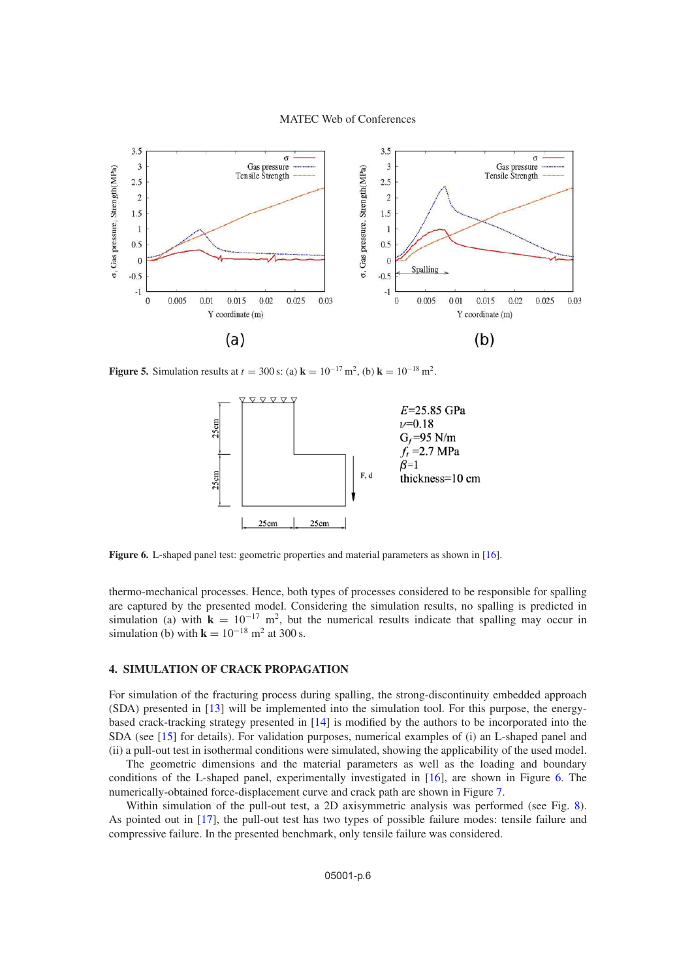<span id="page-5-0"></span>

<span id="page-5-1"></span>**Figure 5.** Simulation results at  $t = 300$  s: (a)  $\mathbf{k} = 10^{-17} \text{ m}^2$ , (b)  $\mathbf{k} = 10^{-18} \text{ m}^2$ .



Figure 6. L-shaped panel test: geometric properties and material parameters as shown in [\[16\]](#page-8-12).

thermo-mechanical processes. Hence, both types of processes considered to be responsible for spalling are captured by the presented model. Considering the simulation results, no spalling is predicted in simulation (a) with  $\mathbf{k} = 10^{-17}$  m<sup>2</sup>, but the numerical results indicate that spalling may occur in simulation (b) with  $\mathbf{k} = 10^{-18}$  m<sup>2</sup> at 300 s.

### **4. SIMULATION OF CRACK PROPAGATION**

For simulation of the fracturing process during spalling, the strong-discontinuity embedded approach (SDA) presented in [\[13\]](#page-8-13) will be implemented into the simulation tool. For this purpose, the energybased crack-tracking strategy presented in [\[14](#page-8-14)] is modified by the authors to be incorporated into the SDA (see [\[15\]](#page-8-15) for details). For validation purposes, numerical examples of (i) an L-shaped panel and (ii) a pull-out test in isothermal conditions were simulated, showing the applicability of the used model.

The geometric dimensions and the material parameters as well as the loading and boundary conditions of the L-shaped panel, experimentally investigated in [\[16\]](#page-8-12), are shown in Figure [6.](#page-5-1) The numerically-obtained force-displacement curve and crack path are shown in Figure [7.](#page-6-0)

Within simulation of the pull-out test, a 2D axisymmetric analysis was performed (see Fig. [8\)](#page-6-1). As pointed out in [\[17\]](#page-8-16), the pull-out test has two types of possible failure modes: tensile failure and compressive failure. In the presented benchmark, only tensile failure was considered.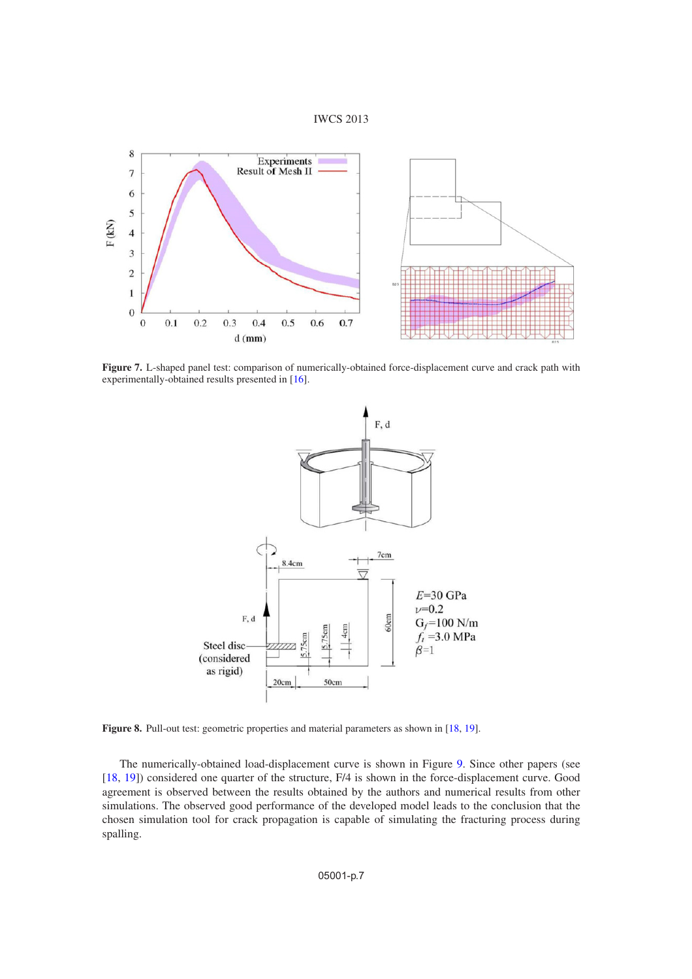

<span id="page-6-0"></span>

<span id="page-6-1"></span>**Figure 7.** L-shaped panel test: comparison of numerically-obtained force-displacement curve and crack path with experimentally-obtained results presented in [\[16](#page-8-12)].



Figure 8. Pull-out test: geometric properties and material parameters as shown in [\[18,](#page-9-0) [19](#page-9-1)].

The numerically-obtained load-displacement curve is shown in Figure [9.](#page-7-0) Since other papers (see [\[18](#page-9-0), [19\]](#page-9-1)) considered one quarter of the structure, F/4 is shown in the force-displacement curve. Good agreement is observed between the results obtained by the authors and numerical results from other simulations. The observed good performance of the developed model leads to the conclusion that the chosen simulation tool for crack propagation is capable of simulating the fracturing process during spalling.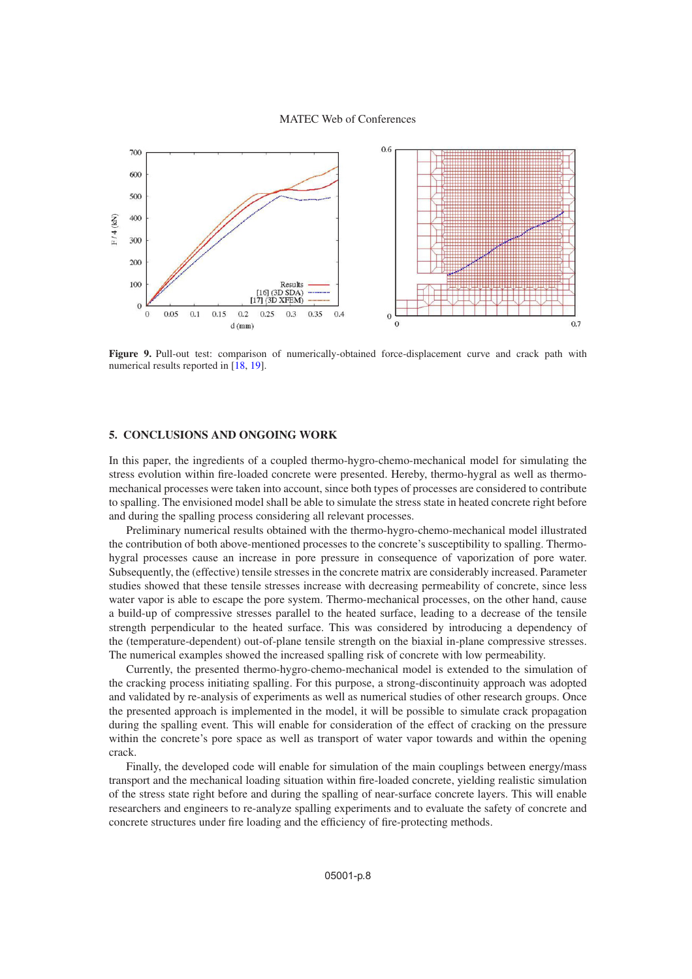<span id="page-7-0"></span>

**Figure 9.** Pull-out test: comparison of numerically-obtained force-displacement curve and crack path with numerical results reported in [\[18,](#page-9-0) [19](#page-9-1)].

### **5. CONCLUSIONS AND ONGOING WORK**

In this paper, the ingredients of a coupled thermo-hygro-chemo-mechanical model for simulating the stress evolution within fire-loaded concrete were presented. Hereby, thermo-hygral as well as thermomechanical processes were taken into account, since both types of processes are considered to contribute to spalling. The envisioned model shall be able to simulate the stress state in heated concrete right before and during the spalling process considering all relevant processes.

Preliminary numerical results obtained with the thermo-hygro-chemo-mechanical model illustrated the contribution of both above-mentioned processes to the concrete's susceptibility to spalling. Thermohygral processes cause an increase in pore pressure in consequence of vaporization of pore water. Subsequently, the (effective) tensile stresses in the concrete matrix are considerably increased. Parameter studies showed that these tensile stresses increase with decreasing permeability of concrete, since less water vapor is able to escape the pore system. Thermo-mechanical processes, on the other hand, cause a build-up of compressive stresses parallel to the heated surface, leading to a decrease of the tensile strength perpendicular to the heated surface. This was considered by introducing a dependency of the (temperature-dependent) out-of-plane tensile strength on the biaxial in-plane compressive stresses. The numerical examples showed the increased spalling risk of concrete with low permeability.

Currently, the presented thermo-hygro-chemo-mechanical model is extended to the simulation of the cracking process initiating spalling. For this purpose, a strong-discontinuity approach was adopted and validated by re-analysis of experiments as well as numerical studies of other research groups. Once the presented approach is implemented in the model, it will be possible to simulate crack propagation during the spalling event. This will enable for consideration of the effect of cracking on the pressure within the concrete's pore space as well as transport of water vapor towards and within the opening crack.

Finally, the developed code will enable for simulation of the main couplings between energy/mass transport and the mechanical loading situation within fire-loaded concrete, yielding realistic simulation of the stress state right before and during the spalling of near-surface concrete layers. This will enable researchers and engineers to re-analyze spalling experiments and to evaluate the safety of concrete and concrete structures under fire loading and the efficiency of fire-protecting methods.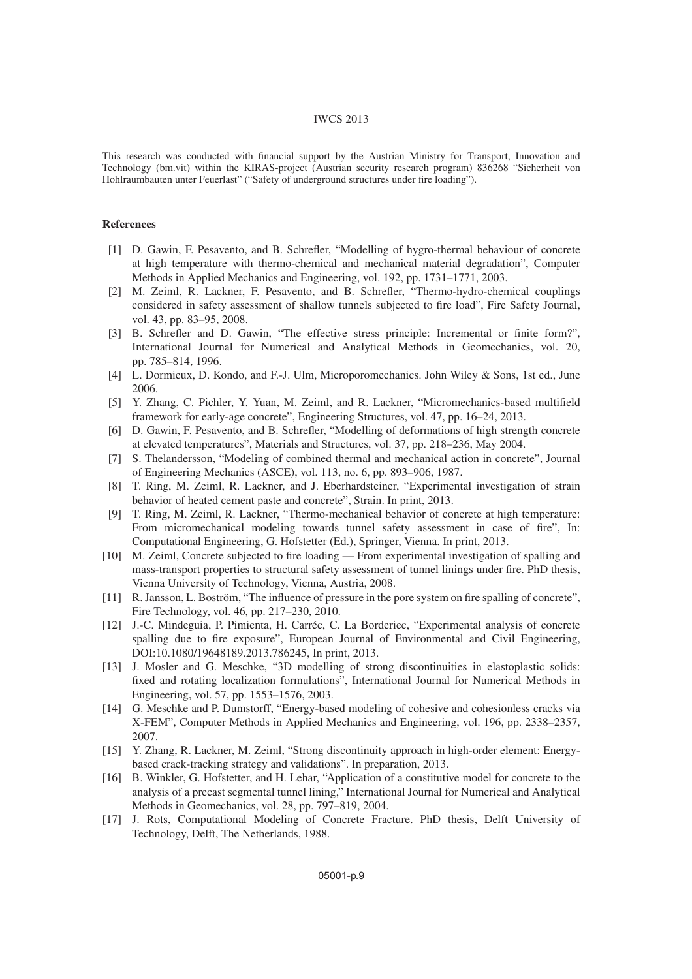#### IWCS 2013

This research was conducted with financial support by the Austrian Ministry for Transport, Innovation and Technology (bm.vit) within the KIRAS-project (Austrian security research program) 836268 "Sicherheit von Hohlraumbauten unter Feuerlast" ("Safety of underground structures under fire loading").

#### <span id="page-8-0"></span>**References**

- [1] D. Gawin, F. Pesavento, and B. Schrefler, "Modelling of hygro-thermal behaviour of concrete at high temperature with thermo-chemical and mechanical material degradation", Computer Methods in Applied Mechanics and Engineering, vol. 192, pp. 1731–1771, 2003.
- <span id="page-8-1"></span>[2] M. Zeiml, R. Lackner, F. Pesavento, and B. Schrefler, "Thermo-hydro-chemical couplings considered in safety assessment of shallow tunnels subjected to fire load", Fire Safety Journal, vol. 43, pp. 83–95, 2008.
- <span id="page-8-2"></span>[3] B. Schrefler and D. Gawin, "The effective stress principle: Incremental or finite form?", International Journal for Numerical and Analytical Methods in Geomechanics, vol. 20, pp. 785–814, 1996.
- <span id="page-8-3"></span>[4] L. Dormieux, D. Kondo, and F.-J. Ulm, Microporomechanics. John Wiley & Sons, 1st ed., June 2006.
- <span id="page-8-4"></span>[5] Y. Zhang, C. Pichler, Y. Yuan, M. Zeiml, and R. Lackner, "Micromechanics-based multifield framework for early-age concrete", Engineering Structures, vol. 47, pp. 16–24, 2013.
- <span id="page-8-5"></span>[6] D. Gawin, F. Pesavento, and B. Schrefler, "Modelling of deformations of high strength concrete at elevated temperatures", Materials and Structures, vol. 37, pp. 218–236, May 2004.
- <span id="page-8-6"></span>[7] S. Thelandersson, "Modeling of combined thermal and mechanical action in concrete", Journal of Engineering Mechanics (ASCE), vol. 113, no. 6, pp. 893–906, 1987.
- <span id="page-8-7"></span>[8] T. Ring, M. Zeiml, R. Lackner, and J. Eberhardsteiner, "Experimental investigation of strain behavior of heated cement paste and concrete", Strain. In print, 2013.
- <span id="page-8-8"></span>[9] T. Ring, M. Zeiml, R. Lackner, "Thermo-mechanical behavior of concrete at high temperature: From micromechanical modeling towards tunnel safety assessment in case of fire", In: Computational Engineering, G. Hofstetter (Ed.), Springer, Vienna. In print, 2013.
- <span id="page-8-9"></span>[10] M. Zeiml, Concrete subjected to fire loading — From experimental investigation of spalling and mass-transport properties to structural safety assessment of tunnel linings under fire. PhD thesis, Vienna University of Technology, Vienna, Austria, 2008.
- <span id="page-8-10"></span>[11] R. Jansson, L. Boström, "The influence of pressure in the pore system on fire spalling of concrete", Fire Technology, vol. 46, pp. 217–230, 2010.
- <span id="page-8-11"></span>[12] J.-C. Mindeguia, P. Pimienta, H. Carréc, C. La Borderiec, "Experimental analysis of concrete spalling due to fire exposure", European Journal of Environmental and Civil Engineering, DOI:10.1080/19648189.2013.786245, In print, 2013.
- <span id="page-8-13"></span>[13] J. Mosler and G. Meschke, "3D modelling of strong discontinuities in elastoplastic solids: fixed and rotating localization formulations", International Journal for Numerical Methods in Engineering, vol. 57, pp. 1553–1576, 2003.
- <span id="page-8-14"></span>[14] G. Meschke and P. Dumstorff, "Energy-based modeling of cohesive and cohesionless cracks via X-FEM", Computer Methods in Applied Mechanics and Engineering, vol. 196, pp. 2338–2357, 2007.
- <span id="page-8-15"></span>[15] Y. Zhang, R. Lackner, M. Zeiml, "Strong discontinuity approach in high-order element: Energybased crack-tracking strategy and validations". In preparation, 2013.
- <span id="page-8-12"></span>[16] B. Winkler, G. Hofstetter, and H. Lehar, "Application of a constitutive model for concrete to the analysis of a precast segmental tunnel lining," International Journal for Numerical and Analytical Methods in Geomechanics, vol. 28, pp. 797–819, 2004.
- <span id="page-8-16"></span>[17] J. Rots, Computational Modeling of Concrete Fracture. PhD thesis, Delft University of Technology, Delft, The Netherlands, 1988.